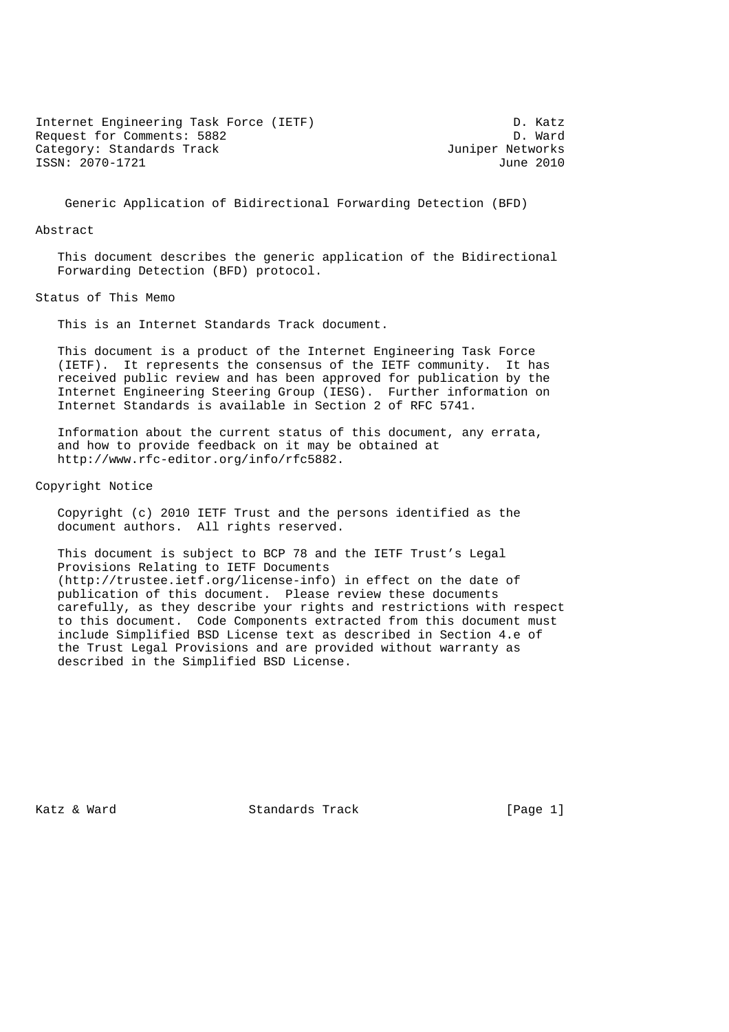Internet Engineering Task Force (IETF) D. Katz<br>Request for Comments: 5882 Request for Comments: 5882 Category: Standards Track and the Category: Standards Track ISSN: 2070-1721 June 2010

Generic Application of Bidirectional Forwarding Detection (BFD)

#### Abstract

 This document describes the generic application of the Bidirectional Forwarding Detection (BFD) protocol.

Status of This Memo

This is an Internet Standards Track document.

 This document is a product of the Internet Engineering Task Force (IETF). It represents the consensus of the IETF community. It has received public review and has been approved for publication by the Internet Engineering Steering Group (IESG). Further information on Internet Standards is available in Section 2 of RFC 5741.

 Information about the current status of this document, any errata, and how to provide feedback on it may be obtained at http://www.rfc-editor.org/info/rfc5882.

Copyright Notice

 Copyright (c) 2010 IETF Trust and the persons identified as the document authors. All rights reserved.

 This document is subject to BCP 78 and the IETF Trust's Legal Provisions Relating to IETF Documents (http://trustee.ietf.org/license-info) in effect on the date of publication of this document. Please review these documents carefully, as they describe your rights and restrictions with respect to this document. Code Components extracted from this document must include Simplified BSD License text as described in Section 4.e of the Trust Legal Provisions and are provided without warranty as described in the Simplified BSD License.

Katz & Ward Standards Track [Page 1]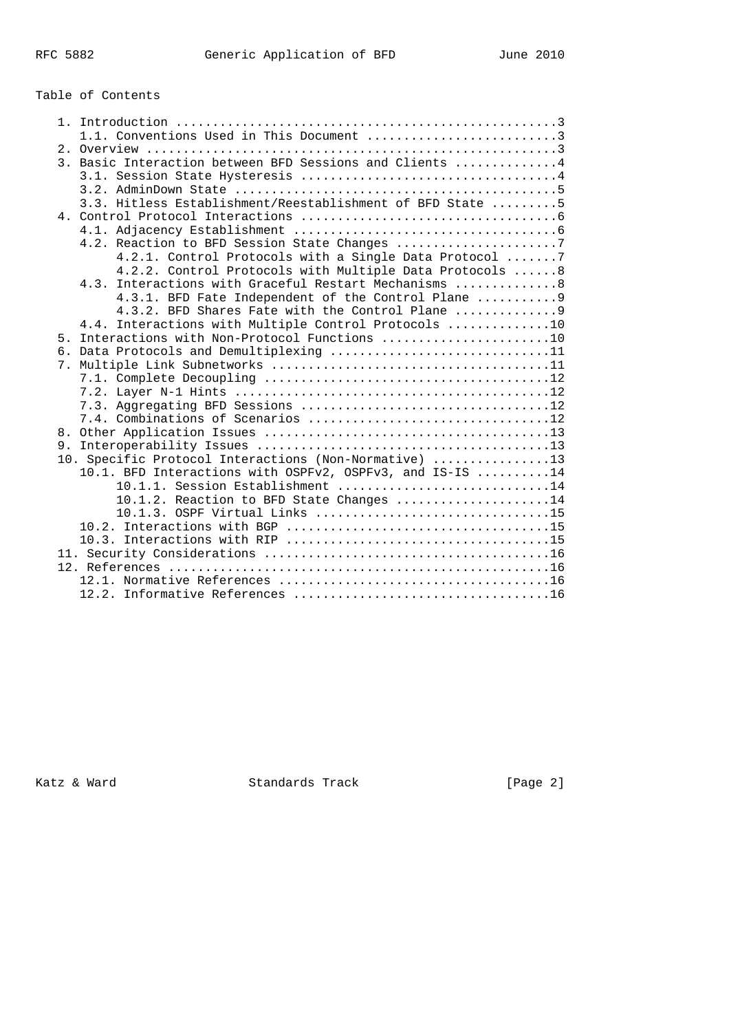# Table of Contents

|  | 1.1. Conventions Used in This Document 3                  |
|--|-----------------------------------------------------------|
|  |                                                           |
|  | 3. Basic Interaction between BFD Sessions and Clients 4   |
|  |                                                           |
|  |                                                           |
|  | 3.3. Hitless Establishment/Reestablishment of BFD State 5 |
|  |                                                           |
|  |                                                           |
|  | 4.2. Reaction to BFD Session State Changes 7              |
|  | 4.2.1. Control Protocols with a Single Data Protocol 7    |
|  | 4.2.2. Control Protocols with Multiple Data Protocols 8   |
|  | 4.3. Interactions with Graceful Restart Mechanisms 8      |
|  | 4.3.1. BFD Fate Independent of the Control Plane  9       |
|  | 4.3.2. BFD Shares Fate with the Control Plane             |
|  | 4.4. Interactions with Multiple Control Protocols 10      |
|  | 5. Interactions with Non-Protocol Functions 10            |
|  | 6. Data Protocols and Demultiplexing 11                   |
|  |                                                           |
|  |                                                           |
|  |                                                           |
|  |                                                           |
|  |                                                           |
|  |                                                           |
|  | 10. Specific Protocol Interactions (Non-Normative) 13     |
|  | 10.1. BFD Interactions with OSPFv2, OSPFv3, and IS-IS 14  |
|  | 10.1.1. Session Establishment 14                          |
|  | $10.1.2$ . Reaction to BFD State Changes 14               |
|  |                                                           |
|  |                                                           |
|  |                                                           |
|  |                                                           |
|  |                                                           |
|  |                                                           |
|  |                                                           |

Katz & Ward **Standards Track** [Page 2]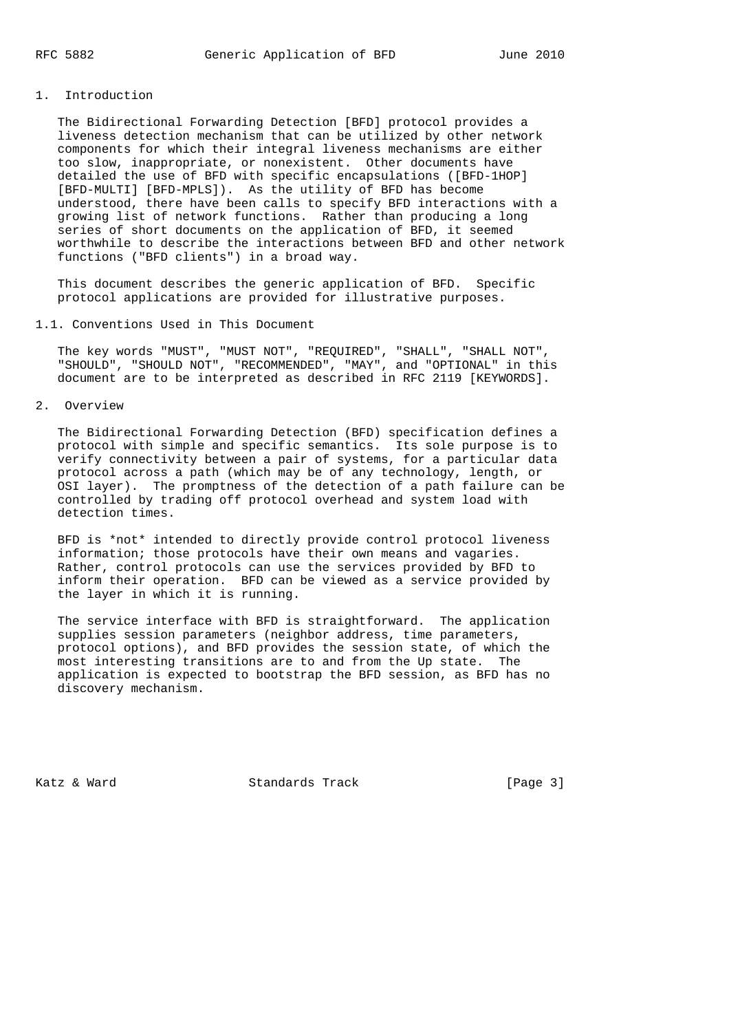## 1. Introduction

 The Bidirectional Forwarding Detection [BFD] protocol provides a liveness detection mechanism that can be utilized by other network components for which their integral liveness mechanisms are either too slow, inappropriate, or nonexistent. Other documents have detailed the use of BFD with specific encapsulations ([BFD-1HOP] [BFD-MULTI] [BFD-MPLS]). As the utility of BFD has become understood, there have been calls to specify BFD interactions with a growing list of network functions. Rather than producing a long series of short documents on the application of BFD, it seemed worthwhile to describe the interactions between BFD and other network functions ("BFD clients") in a broad way.

 This document describes the generic application of BFD. Specific protocol applications are provided for illustrative purposes.

### 1.1. Conventions Used in This Document

 The key words "MUST", "MUST NOT", "REQUIRED", "SHALL", "SHALL NOT", "SHOULD", "SHOULD NOT", "RECOMMENDED", "MAY", and "OPTIONAL" in this document are to be interpreted as described in RFC 2119 [KEYWORDS].

2. Overview

 The Bidirectional Forwarding Detection (BFD) specification defines a protocol with simple and specific semantics. Its sole purpose is to verify connectivity between a pair of systems, for a particular data protocol across a path (which may be of any technology, length, or OSI layer). The promptness of the detection of a path failure can be controlled by trading off protocol overhead and system load with detection times.

 BFD is \*not\* intended to directly provide control protocol liveness information; those protocols have their own means and vagaries. Rather, control protocols can use the services provided by BFD to inform their operation. BFD can be viewed as a service provided by the layer in which it is running.

 The service interface with BFD is straightforward. The application supplies session parameters (neighbor address, time parameters, protocol options), and BFD provides the session state, of which the most interesting transitions are to and from the Up state. The application is expected to bootstrap the BFD session, as BFD has no discovery mechanism.

Katz & Ward Standards Track [Page 3]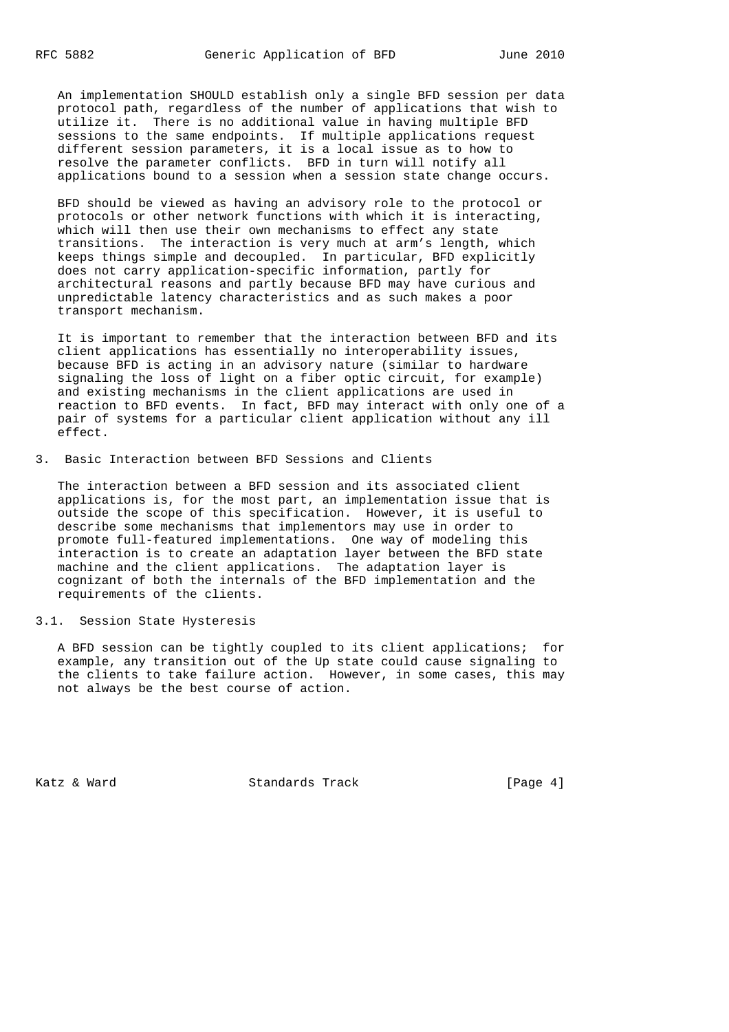An implementation SHOULD establish only a single BFD session per data protocol path, regardless of the number of applications that wish to utilize it. There is no additional value in having multiple BFD sessions to the same endpoints. If multiple applications request different session parameters, it is a local issue as to how to resolve the parameter conflicts. BFD in turn will notify all applications bound to a session when a session state change occurs.

 BFD should be viewed as having an advisory role to the protocol or protocols or other network functions with which it is interacting, which will then use their own mechanisms to effect any state transitions. The interaction is very much at arm's length, which keeps things simple and decoupled. In particular, BFD explicitly does not carry application-specific information, partly for architectural reasons and partly because BFD may have curious and unpredictable latency characteristics and as such makes a poor transport mechanism.

 It is important to remember that the interaction between BFD and its client applications has essentially no interoperability issues, because BFD is acting in an advisory nature (similar to hardware signaling the loss of light on a fiber optic circuit, for example) and existing mechanisms in the client applications are used in reaction to BFD events. In fact, BFD may interact with only one of a pair of systems for a particular client application without any ill effect.

3. Basic Interaction between BFD Sessions and Clients

 The interaction between a BFD session and its associated client applications is, for the most part, an implementation issue that is outside the scope of this specification. However, it is useful to describe some mechanisms that implementors may use in order to promote full-featured implementations. One way of modeling this interaction is to create an adaptation layer between the BFD state machine and the client applications. The adaptation layer is cognizant of both the internals of the BFD implementation and the requirements of the clients.

3.1. Session State Hysteresis

 A BFD session can be tightly coupled to its client applications; for example, any transition out of the Up state could cause signaling to the clients to take failure action. However, in some cases, this may not always be the best course of action.

Katz & Ward **Standards Track** [Page 4]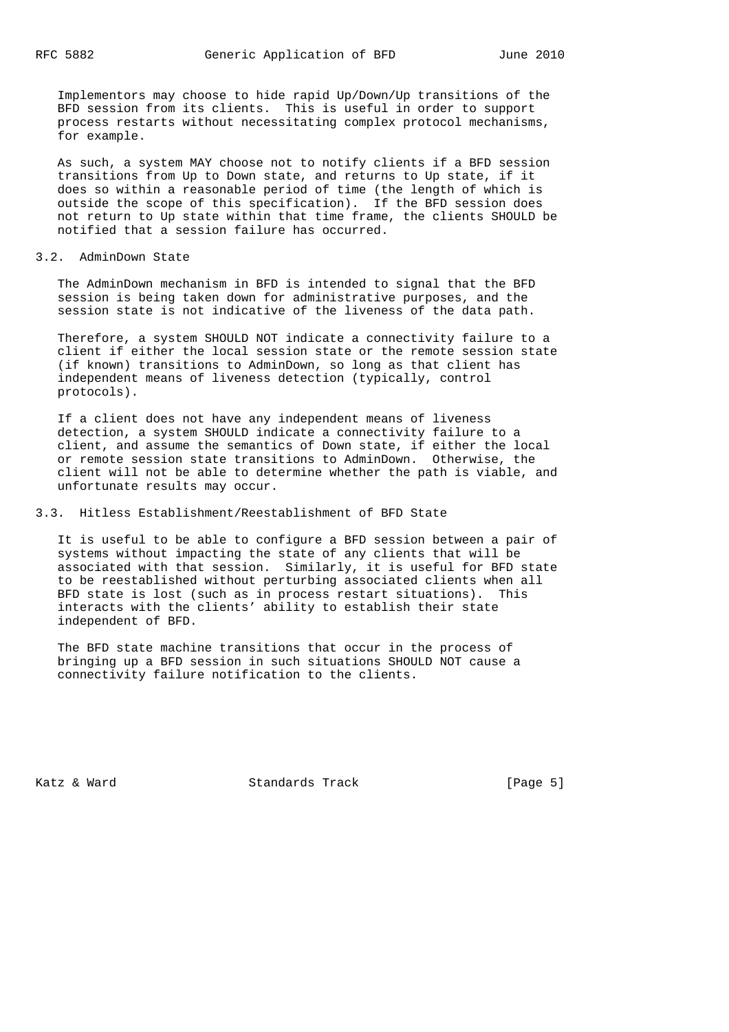Implementors may choose to hide rapid Up/Down/Up transitions of the BFD session from its clients. This is useful in order to support process restarts without necessitating complex protocol mechanisms, for example.

 As such, a system MAY choose not to notify clients if a BFD session transitions from Up to Down state, and returns to Up state, if it does so within a reasonable period of time (the length of which is outside the scope of this specification). If the BFD session does not return to Up state within that time frame, the clients SHOULD be notified that a session failure has occurred.

#### 3.2. AdminDown State

 The AdminDown mechanism in BFD is intended to signal that the BFD session is being taken down for administrative purposes, and the session state is not indicative of the liveness of the data path.

 Therefore, a system SHOULD NOT indicate a connectivity failure to a client if either the local session state or the remote session state (if known) transitions to AdminDown, so long as that client has independent means of liveness detection (typically, control protocols).

 If a client does not have any independent means of liveness detection, a system SHOULD indicate a connectivity failure to a client, and assume the semantics of Down state, if either the local or remote session state transitions to AdminDown. Otherwise, the client will not be able to determine whether the path is viable, and unfortunate results may occur.

#### 3.3. Hitless Establishment/Reestablishment of BFD State

 It is useful to be able to configure a BFD session between a pair of systems without impacting the state of any clients that will be associated with that session. Similarly, it is useful for BFD state to be reestablished without perturbing associated clients when all BFD state is lost (such as in process restart situations). This interacts with the clients' ability to establish their state independent of BFD.

 The BFD state machine transitions that occur in the process of bringing up a BFD session in such situations SHOULD NOT cause a connectivity failure notification to the clients.

Katz & Ward **Standards Track** [Page 5]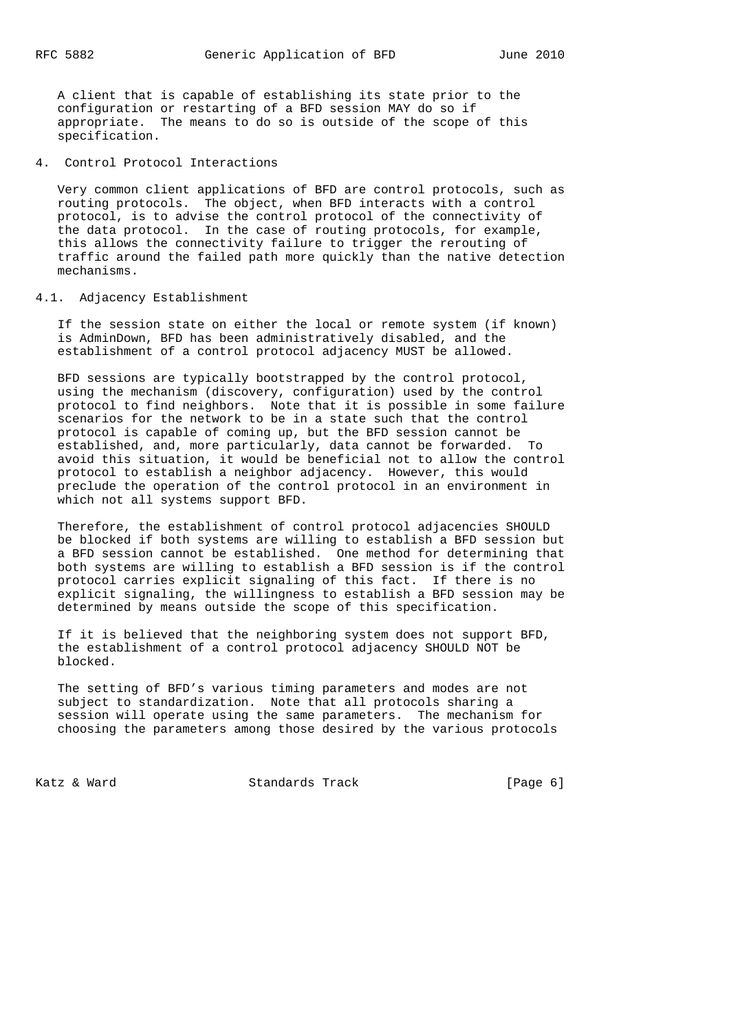A client that is capable of establishing its state prior to the configuration or restarting of a BFD session MAY do so if appropriate. The means to do so is outside of the scope of this specification.

4. Control Protocol Interactions

 Very common client applications of BFD are control protocols, such as routing protocols. The object, when BFD interacts with a control protocol, is to advise the control protocol of the connectivity of the data protocol. In the case of routing protocols, for example, this allows the connectivity failure to trigger the rerouting of traffic around the failed path more quickly than the native detection mechanisms.

### 4.1. Adjacency Establishment

 If the session state on either the local or remote system (if known) is AdminDown, BFD has been administratively disabled, and the establishment of a control protocol adjacency MUST be allowed.

 BFD sessions are typically bootstrapped by the control protocol, using the mechanism (discovery, configuration) used by the control protocol to find neighbors. Note that it is possible in some failure scenarios for the network to be in a state such that the control protocol is capable of coming up, but the BFD session cannot be established, and, more particularly, data cannot be forwarded. To avoid this situation, it would be beneficial not to allow the control protocol to establish a neighbor adjacency. However, this would preclude the operation of the control protocol in an environment in which not all systems support BFD.

 Therefore, the establishment of control protocol adjacencies SHOULD be blocked if both systems are willing to establish a BFD session but a BFD session cannot be established. One method for determining that both systems are willing to establish a BFD session is if the control protocol carries explicit signaling of this fact. If there is no explicit signaling, the willingness to establish a BFD session may be determined by means outside the scope of this specification.

 If it is believed that the neighboring system does not support BFD, the establishment of a control protocol adjacency SHOULD NOT be blocked.

 The setting of BFD's various timing parameters and modes are not subject to standardization. Note that all protocols sharing a session will operate using the same parameters. The mechanism for choosing the parameters among those desired by the various protocols

Katz & Ward **Standards Track** [Page 6]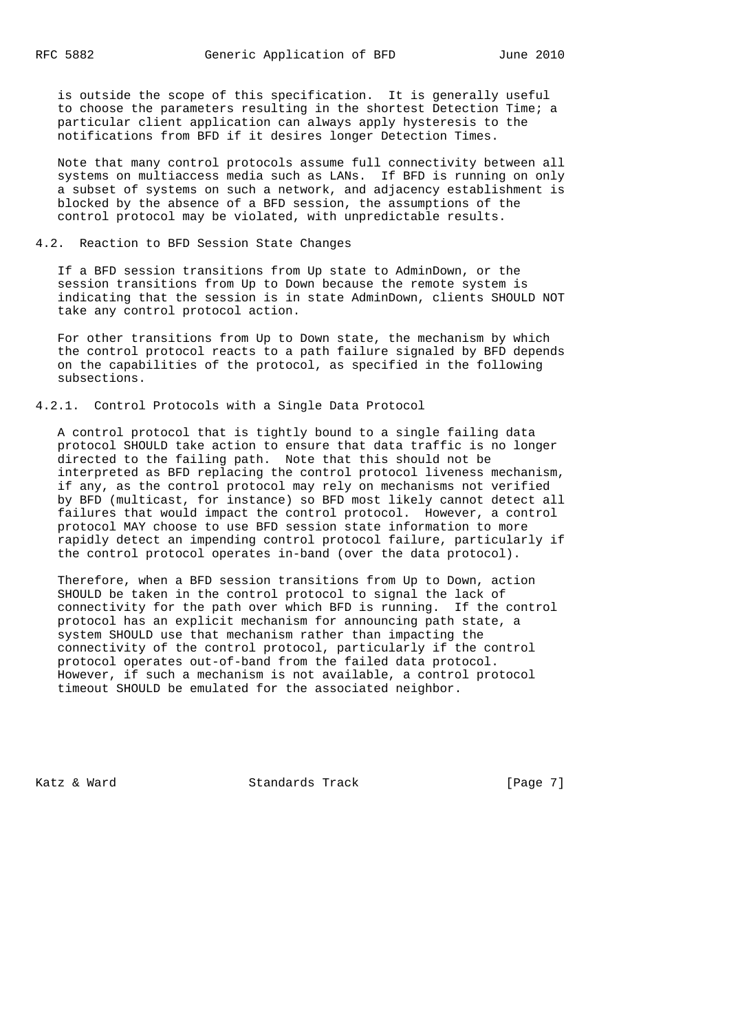is outside the scope of this specification. It is generally useful to choose the parameters resulting in the shortest Detection Time; a particular client application can always apply hysteresis to the notifications from BFD if it desires longer Detection Times.

 Note that many control protocols assume full connectivity between all systems on multiaccess media such as LANs. If BFD is running on only a subset of systems on such a network, and adjacency establishment is blocked by the absence of a BFD session, the assumptions of the control protocol may be violated, with unpredictable results.

#### 4.2. Reaction to BFD Session State Changes

 If a BFD session transitions from Up state to AdminDown, or the session transitions from Up to Down because the remote system is indicating that the session is in state AdminDown, clients SHOULD NOT take any control protocol action.

 For other transitions from Up to Down state, the mechanism by which the control protocol reacts to a path failure signaled by BFD depends on the capabilities of the protocol, as specified in the following subsections.

# 4.2.1. Control Protocols with a Single Data Protocol

 A control protocol that is tightly bound to a single failing data protocol SHOULD take action to ensure that data traffic is no longer directed to the failing path. Note that this should not be interpreted as BFD replacing the control protocol liveness mechanism, if any, as the control protocol may rely on mechanisms not verified by BFD (multicast, for instance) so BFD most likely cannot detect all failures that would impact the control protocol. However, a control protocol MAY choose to use BFD session state information to more rapidly detect an impending control protocol failure, particularly if the control protocol operates in-band (over the data protocol).

 Therefore, when a BFD session transitions from Up to Down, action SHOULD be taken in the control protocol to signal the lack of connectivity for the path over which BFD is running. If the control protocol has an explicit mechanism for announcing path state, a system SHOULD use that mechanism rather than impacting the connectivity of the control protocol, particularly if the control protocol operates out-of-band from the failed data protocol. However, if such a mechanism is not available, a control protocol timeout SHOULD be emulated for the associated neighbor.

Katz & Ward **Standards Track** [Page 7]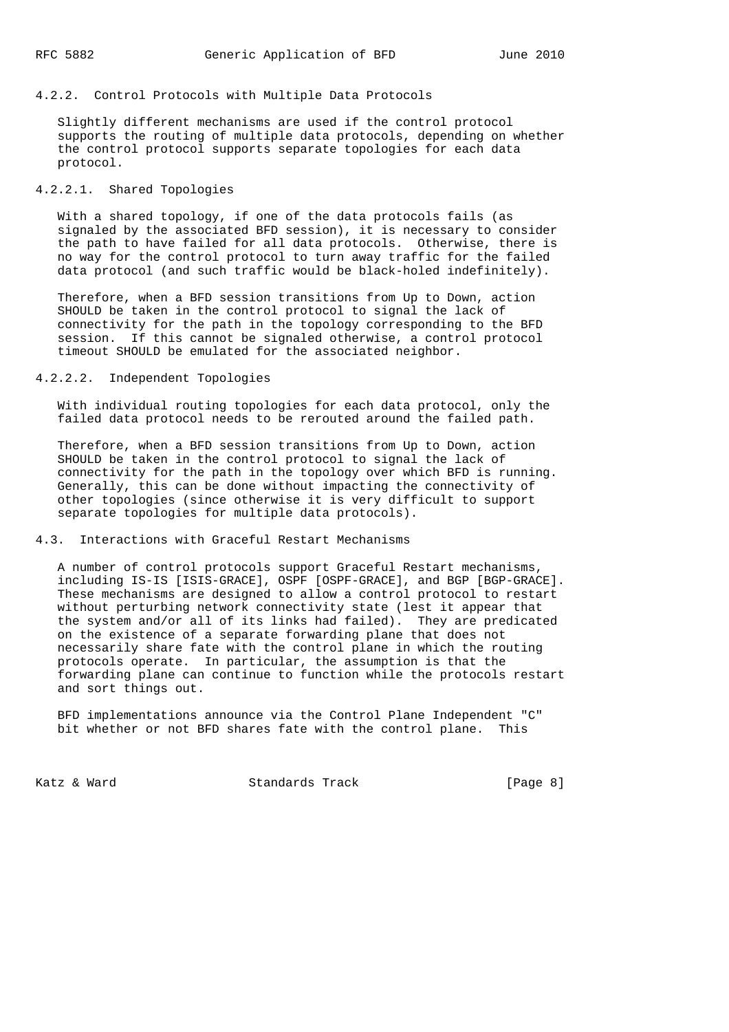### 4.2.2. Control Protocols with Multiple Data Protocols

 Slightly different mechanisms are used if the control protocol supports the routing of multiple data protocols, depending on whether the control protocol supports separate topologies for each data protocol.

# 4.2.2.1. Shared Topologies

 With a shared topology, if one of the data protocols fails (as signaled by the associated BFD session), it is necessary to consider the path to have failed for all data protocols. Otherwise, there is no way for the control protocol to turn away traffic for the failed data protocol (and such traffic would be black-holed indefinitely).

 Therefore, when a BFD session transitions from Up to Down, action SHOULD be taken in the control protocol to signal the lack of connectivity for the path in the topology corresponding to the BFD session. If this cannot be signaled otherwise, a control protocol timeout SHOULD be emulated for the associated neighbor.

### 4.2.2.2. Independent Topologies

 With individual routing topologies for each data protocol, only the failed data protocol needs to be rerouted around the failed path.

 Therefore, when a BFD session transitions from Up to Down, action SHOULD be taken in the control protocol to signal the lack of connectivity for the path in the topology over which BFD is running. Generally, this can be done without impacting the connectivity of other topologies (since otherwise it is very difficult to support separate topologies for multiple data protocols).

### 4.3. Interactions with Graceful Restart Mechanisms

 A number of control protocols support Graceful Restart mechanisms, including IS-IS [ISIS-GRACE], OSPF [OSPF-GRACE], and BGP [BGP-GRACE]. These mechanisms are designed to allow a control protocol to restart without perturbing network connectivity state (lest it appear that the system and/or all of its links had failed). They are predicated on the existence of a separate forwarding plane that does not necessarily share fate with the control plane in which the routing protocols operate. In particular, the assumption is that the forwarding plane can continue to function while the protocols restart and sort things out.

 BFD implementations announce via the Control Plane Independent "C" bit whether or not BFD shares fate with the control plane. This

Katz & Ward **Standards Track** [Page 8]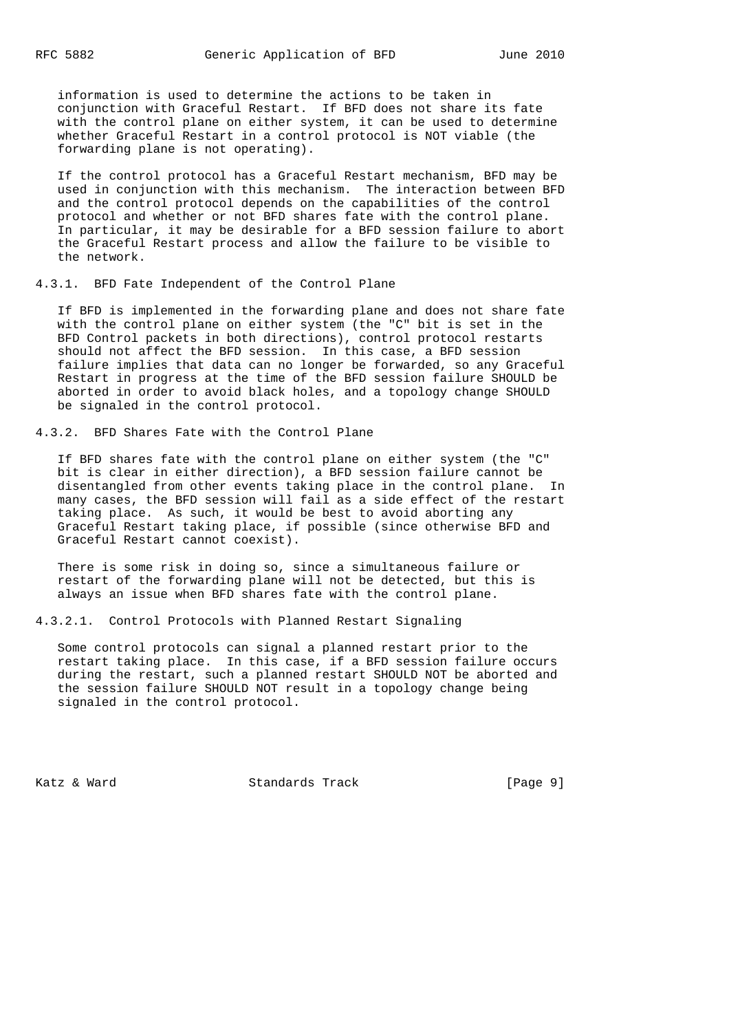information is used to determine the actions to be taken in conjunction with Graceful Restart. If BFD does not share its fate with the control plane on either system, it can be used to determine whether Graceful Restart in a control protocol is NOT viable (the forwarding plane is not operating).

 If the control protocol has a Graceful Restart mechanism, BFD may be used in conjunction with this mechanism. The interaction between BFD and the control protocol depends on the capabilities of the control protocol and whether or not BFD shares fate with the control plane. In particular, it may be desirable for a BFD session failure to abort the Graceful Restart process and allow the failure to be visible to the network.

### 4.3.1. BFD Fate Independent of the Control Plane

 If BFD is implemented in the forwarding plane and does not share fate with the control plane on either system (the "C" bit is set in the BFD Control packets in both directions), control protocol restarts should not affect the BFD session. In this case, a BFD session failure implies that data can no longer be forwarded, so any Graceful Restart in progress at the time of the BFD session failure SHOULD be aborted in order to avoid black holes, and a topology change SHOULD be signaled in the control protocol.

### 4.3.2. BFD Shares Fate with the Control Plane

 If BFD shares fate with the control plane on either system (the "C" bit is clear in either direction), a BFD session failure cannot be disentangled from other events taking place in the control plane. In many cases, the BFD session will fail as a side effect of the restart taking place. As such, it would be best to avoid aborting any Graceful Restart taking place, if possible (since otherwise BFD and Graceful Restart cannot coexist).

 There is some risk in doing so, since a simultaneous failure or restart of the forwarding plane will not be detected, but this is always an issue when BFD shares fate with the control plane.

4.3.2.1. Control Protocols with Planned Restart Signaling

 Some control protocols can signal a planned restart prior to the restart taking place. In this case, if a BFD session failure occurs during the restart, such a planned restart SHOULD NOT be aborted and the session failure SHOULD NOT result in a topology change being signaled in the control protocol.

Katz & Ward **Standards Track** [Page 9]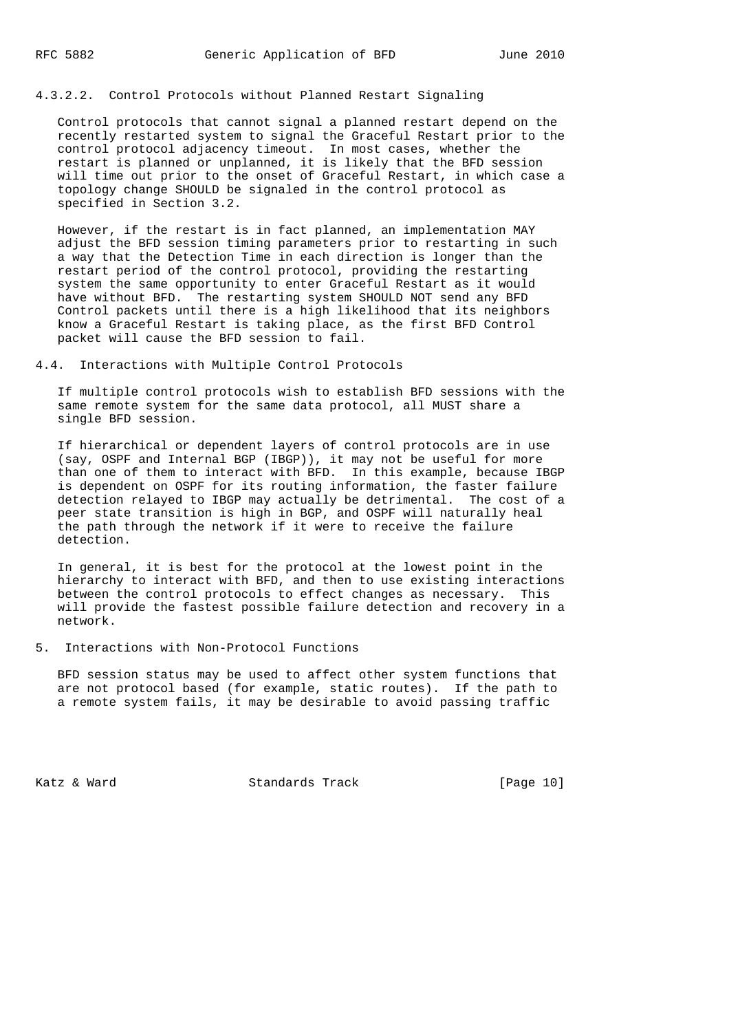## 4.3.2.2. Control Protocols without Planned Restart Signaling

 Control protocols that cannot signal a planned restart depend on the recently restarted system to signal the Graceful Restart prior to the control protocol adjacency timeout. In most cases, whether the restart is planned or unplanned, it is likely that the BFD session will time out prior to the onset of Graceful Restart, in which case a topology change SHOULD be signaled in the control protocol as specified in Section 3.2.

 However, if the restart is in fact planned, an implementation MAY adjust the BFD session timing parameters prior to restarting in such a way that the Detection Time in each direction is longer than the restart period of the control protocol, providing the restarting system the same opportunity to enter Graceful Restart as it would have without BFD. The restarting system SHOULD NOT send any BFD Control packets until there is a high likelihood that its neighbors know a Graceful Restart is taking place, as the first BFD Control packet will cause the BFD session to fail.

4.4. Interactions with Multiple Control Protocols

 If multiple control protocols wish to establish BFD sessions with the same remote system for the same data protocol, all MUST share a single BFD session.

 If hierarchical or dependent layers of control protocols are in use (say, OSPF and Internal BGP (IBGP)), it may not be useful for more than one of them to interact with BFD. In this example, because IBGP is dependent on OSPF for its routing information, the faster failure detection relayed to IBGP may actually be detrimental. The cost of a peer state transition is high in BGP, and OSPF will naturally heal the path through the network if it were to receive the failure detection.

 In general, it is best for the protocol at the lowest point in the hierarchy to interact with BFD, and then to use existing interactions between the control protocols to effect changes as necessary. This will provide the fastest possible failure detection and recovery in a network.

# 5. Interactions with Non-Protocol Functions

 BFD session status may be used to affect other system functions that are not protocol based (for example, static routes). If the path to a remote system fails, it may be desirable to avoid passing traffic

Katz & Ward **Standards Track** [Page 10]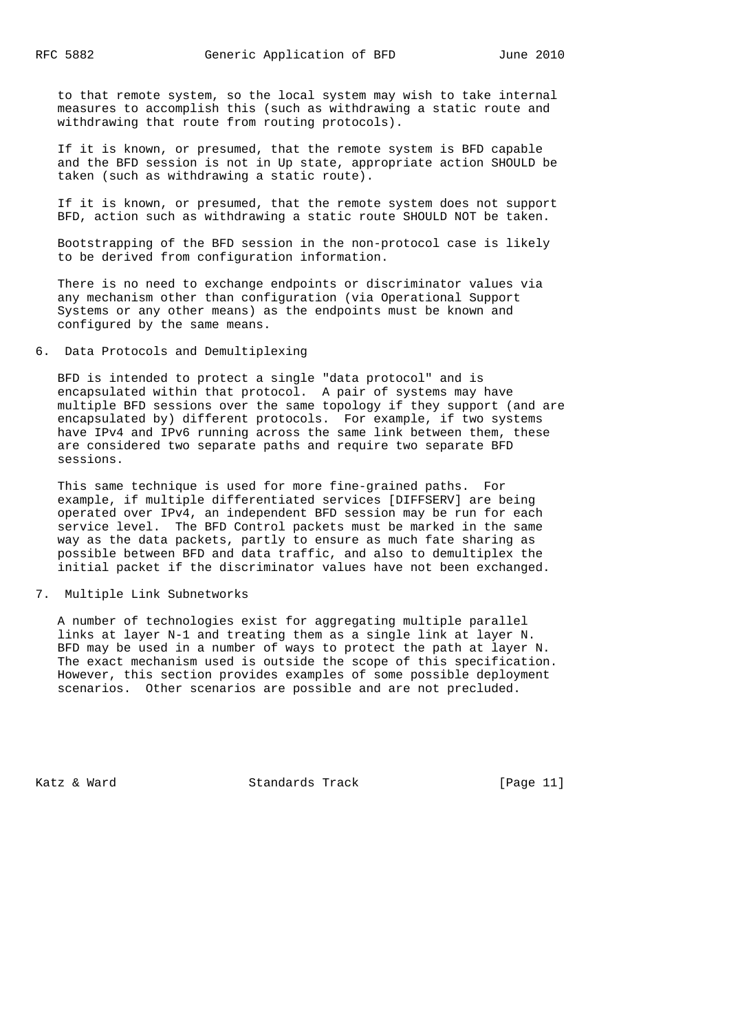to that remote system, so the local system may wish to take internal measures to accomplish this (such as withdrawing a static route and withdrawing that route from routing protocols).

 If it is known, or presumed, that the remote system is BFD capable and the BFD session is not in Up state, appropriate action SHOULD be taken (such as withdrawing a static route).

 If it is known, or presumed, that the remote system does not support BFD, action such as withdrawing a static route SHOULD NOT be taken.

 Bootstrapping of the BFD session in the non-protocol case is likely to be derived from configuration information.

 There is no need to exchange endpoints or discriminator values via any mechanism other than configuration (via Operational Support Systems or any other means) as the endpoints must be known and configured by the same means.

# 6. Data Protocols and Demultiplexing

 BFD is intended to protect a single "data protocol" and is encapsulated within that protocol. A pair of systems may have multiple BFD sessions over the same topology if they support (and are encapsulated by) different protocols. For example, if two systems have IPv4 and IPv6 running across the same link between them, these are considered two separate paths and require two separate BFD sessions.

 This same technique is used for more fine-grained paths. For example, if multiple differentiated services [DIFFSERV] are being operated over IPv4, an independent BFD session may be run for each service level. The BFD Control packets must be marked in the same way as the data packets, partly to ensure as much fate sharing as possible between BFD and data traffic, and also to demultiplex the initial packet if the discriminator values have not been exchanged.

### 7. Multiple Link Subnetworks

 A number of technologies exist for aggregating multiple parallel links at layer N-1 and treating them as a single link at layer N. BFD may be used in a number of ways to protect the path at layer N. The exact mechanism used is outside the scope of this specification. However, this section provides examples of some possible deployment scenarios. Other scenarios are possible and are not precluded.

Katz & Ward Standards Track [Page 11]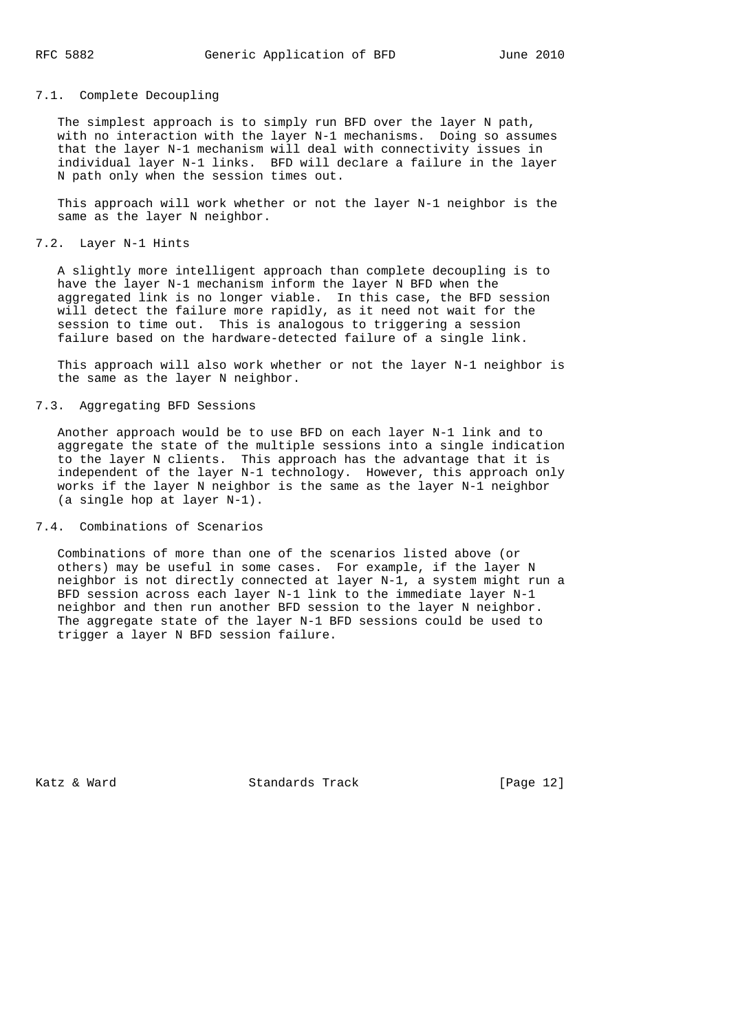### 7.1. Complete Decoupling

 The simplest approach is to simply run BFD over the layer N path, with no interaction with the layer N-1 mechanisms. Doing so assumes that the layer N-1 mechanism will deal with connectivity issues in individual layer N-1 links. BFD will declare a failure in the layer N path only when the session times out.

 This approach will work whether or not the layer N-1 neighbor is the same as the layer N neighbor.

### 7.2. Layer N-1 Hints

 A slightly more intelligent approach than complete decoupling is to have the layer N-1 mechanism inform the layer N BFD when the aggregated link is no longer viable. In this case, the BFD session will detect the failure more rapidly, as it need not wait for the session to time out. This is analogous to triggering a session failure based on the hardware-detected failure of a single link.

 This approach will also work whether or not the layer N-1 neighbor is the same as the layer N neighbor.

### 7.3. Aggregating BFD Sessions

 Another approach would be to use BFD on each layer N-1 link and to aggregate the state of the multiple sessions into a single indication to the layer N clients. This approach has the advantage that it is independent of the layer N-1 technology. However, this approach only works if the layer N neighbor is the same as the layer N-1 neighbor (a single hop at layer N-1).

### 7.4. Combinations of Scenarios

 Combinations of more than one of the scenarios listed above (or others) may be useful in some cases. For example, if the layer N neighbor is not directly connected at layer N-1, a system might run a BFD session across each layer N-1 link to the immediate layer N-1 neighbor and then run another BFD session to the layer N neighbor. The aggregate state of the layer N-1 BFD sessions could be used to trigger a layer N BFD session failure.

Katz & Ward **Standards Track** [Page 12]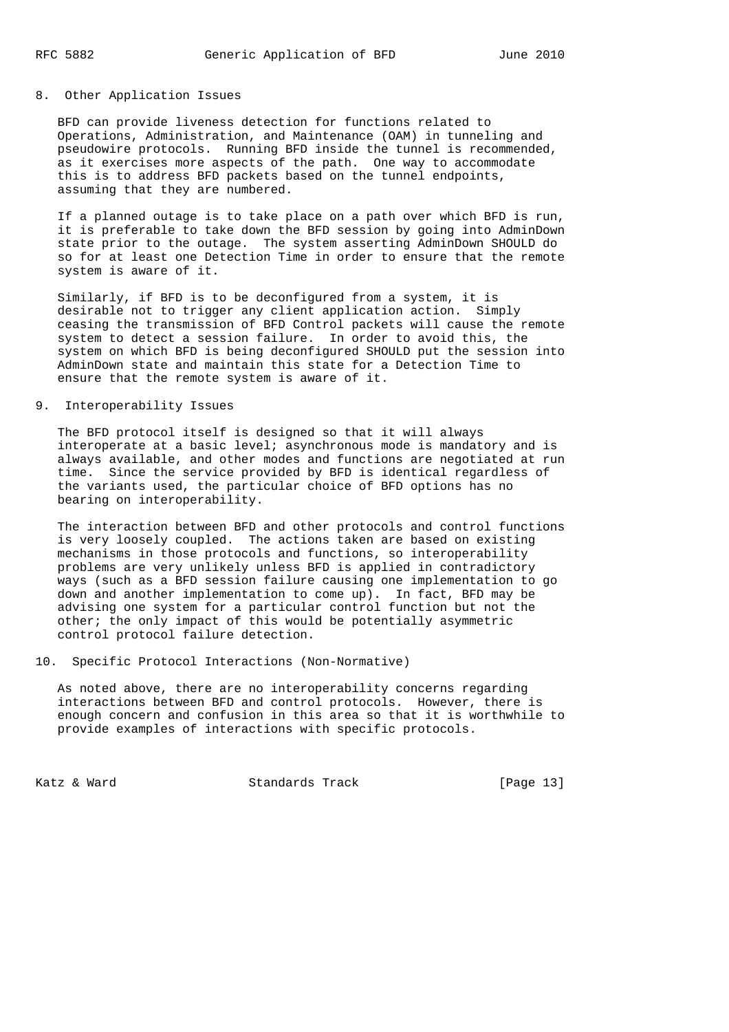#### 8. Other Application Issues

 BFD can provide liveness detection for functions related to Operations, Administration, and Maintenance (OAM) in tunneling and pseudowire protocols. Running BFD inside the tunnel is recommended, as it exercises more aspects of the path. One way to accommodate this is to address BFD packets based on the tunnel endpoints, assuming that they are numbered.

 If a planned outage is to take place on a path over which BFD is run, it is preferable to take down the BFD session by going into AdminDown state prior to the outage. The system asserting AdminDown SHOULD do so for at least one Detection Time in order to ensure that the remote system is aware of it.

 Similarly, if BFD is to be deconfigured from a system, it is desirable not to trigger any client application action. Simply ceasing the transmission of BFD Control packets will cause the remote system to detect a session failure. In order to avoid this, the system on which BFD is being deconfigured SHOULD put the session into AdminDown state and maintain this state for a Detection Time to ensure that the remote system is aware of it.

### 9. Interoperability Issues

 The BFD protocol itself is designed so that it will always interoperate at a basic level; asynchronous mode is mandatory and is always available, and other modes and functions are negotiated at run time. Since the service provided by BFD is identical regardless of the variants used, the particular choice of BFD options has no bearing on interoperability.

 The interaction between BFD and other protocols and control functions is very loosely coupled. The actions taken are based on existing mechanisms in those protocols and functions, so interoperability problems are very unlikely unless BFD is applied in contradictory ways (such as a BFD session failure causing one implementation to go down and another implementation to come up). In fact, BFD may be advising one system for a particular control function but not the other; the only impact of this would be potentially asymmetric control protocol failure detection.

### 10. Specific Protocol Interactions (Non-Normative)

 As noted above, there are no interoperability concerns regarding interactions between BFD and control protocols. However, there is enough concern and confusion in this area so that it is worthwhile to provide examples of interactions with specific protocols.

Katz & Ward **Standards Track** [Page 13]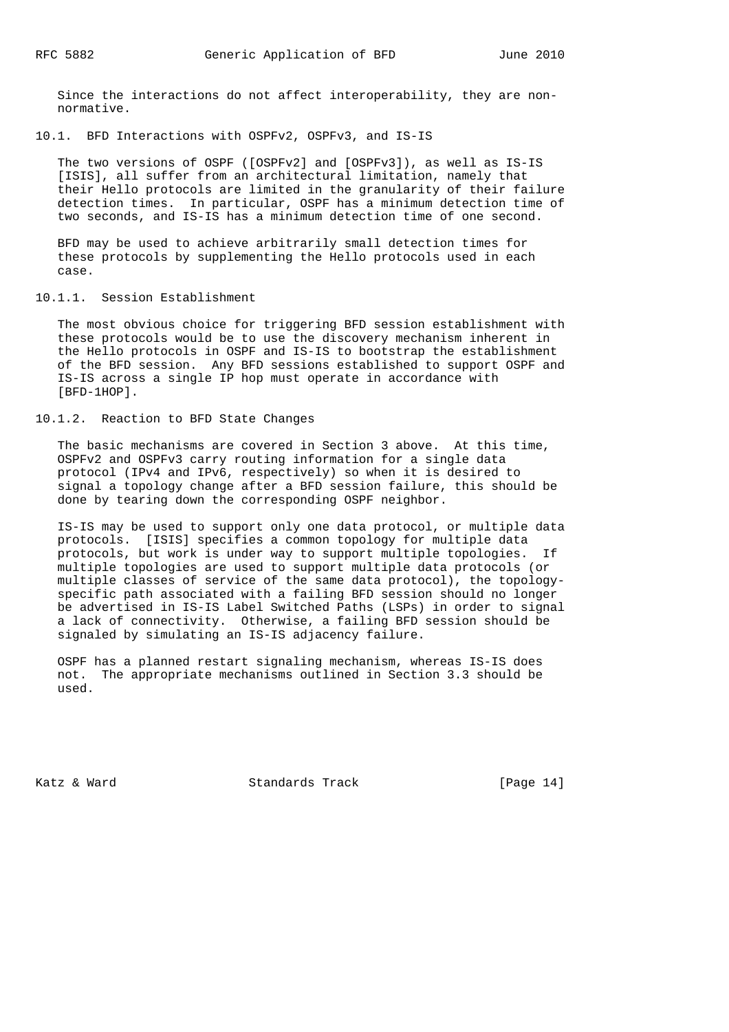Since the interactions do not affect interoperability, they are non normative.

10.1. BFD Interactions with OSPFv2, OSPFv3, and IS-IS

 The two versions of OSPF ([OSPFv2] and [OSPFv3]), as well as IS-IS [ISIS], all suffer from an architectural limitation, namely that their Hello protocols are limited in the granularity of their failure detection times. In particular, OSPF has a minimum detection time of two seconds, and IS-IS has a minimum detection time of one second.

 BFD may be used to achieve arbitrarily small detection times for these protocols by supplementing the Hello protocols used in each case.

10.1.1. Session Establishment

 The most obvious choice for triggering BFD session establishment with these protocols would be to use the discovery mechanism inherent in the Hello protocols in OSPF and IS-IS to bootstrap the establishment of the BFD session. Any BFD sessions established to support OSPF and IS-IS across a single IP hop must operate in accordance with [BFD-1HOP].

10.1.2. Reaction to BFD State Changes

 The basic mechanisms are covered in Section 3 above. At this time, OSPFv2 and OSPFv3 carry routing information for a single data protocol (IPv4 and IPv6, respectively) so when it is desired to signal a topology change after a BFD session failure, this should be done by tearing down the corresponding OSPF neighbor.

 IS-IS may be used to support only one data protocol, or multiple data protocols. [ISIS] specifies a common topology for multiple data protocols, but work is under way to support multiple topologies. If multiple topologies are used to support multiple data protocols (or multiple classes of service of the same data protocol), the topology specific path associated with a failing BFD session should no longer be advertised in IS-IS Label Switched Paths (LSPs) in order to signal a lack of connectivity. Otherwise, a failing BFD session should be signaled by simulating an IS-IS adjacency failure.

 OSPF has a planned restart signaling mechanism, whereas IS-IS does not. The appropriate mechanisms outlined in Section 3.3 should be used.

Katz & Ward Standards Track [Page 14]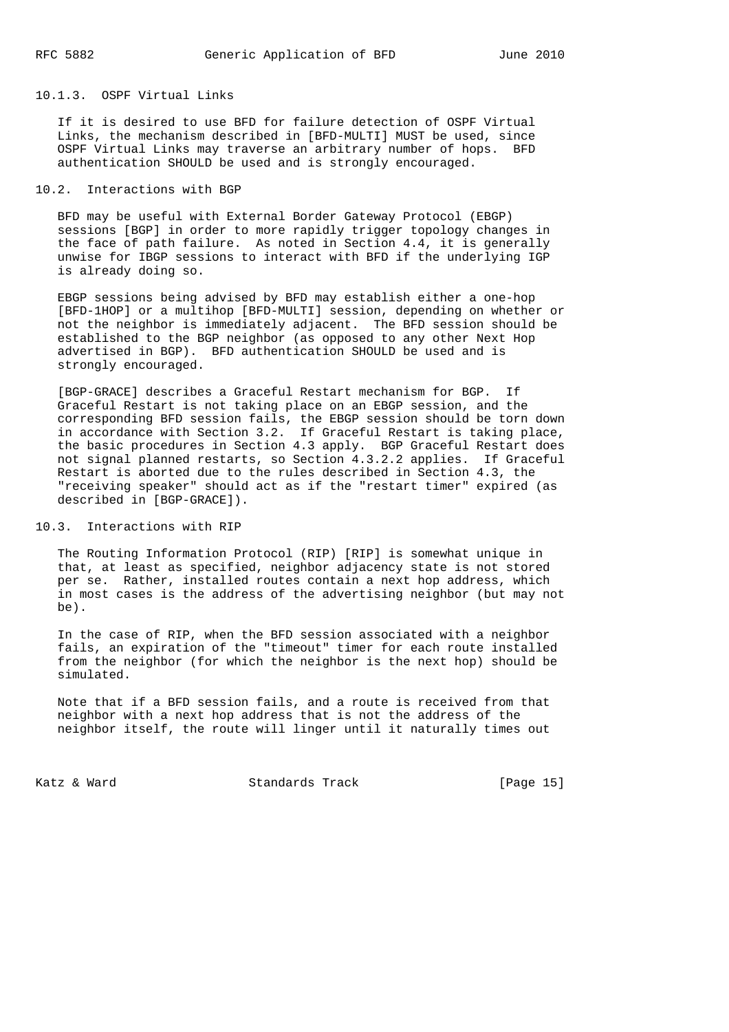### 10.1.3. OSPF Virtual Links

 If it is desired to use BFD for failure detection of OSPF Virtual Links, the mechanism described in [BFD-MULTI] MUST be used, since OSPF Virtual Links may traverse an arbitrary number of hops. BFD authentication SHOULD be used and is strongly encouraged.

### 10.2. Interactions with BGP

 BFD may be useful with External Border Gateway Protocol (EBGP) sessions [BGP] in order to more rapidly trigger topology changes in the face of path failure. As noted in Section 4.4, it is generally unwise for IBGP sessions to interact with BFD if the underlying IGP is already doing so.

 EBGP sessions being advised by BFD may establish either a one-hop [BFD-1HOP] or a multihop [BFD-MULTI] session, depending on whether or not the neighbor is immediately adjacent. The BFD session should be established to the BGP neighbor (as opposed to any other Next Hop advertised in BGP). BFD authentication SHOULD be used and is strongly encouraged.

 [BGP-GRACE] describes a Graceful Restart mechanism for BGP. If Graceful Restart is not taking place on an EBGP session, and the corresponding BFD session fails, the EBGP session should be torn down in accordance with Section 3.2. If Graceful Restart is taking place, the basic procedures in Section 4.3 apply. BGP Graceful Restart does not signal planned restarts, so Section 4.3.2.2 applies. If Graceful Restart is aborted due to the rules described in Section 4.3, the "receiving speaker" should act as if the "restart timer" expired (as described in [BGP-GRACE]).

### 10.3. Interactions with RIP

 The Routing Information Protocol (RIP) [RIP] is somewhat unique in that, at least as specified, neighbor adjacency state is not stored per se. Rather, installed routes contain a next hop address, which in most cases is the address of the advertising neighbor (but may not be).

 In the case of RIP, when the BFD session associated with a neighbor fails, an expiration of the "timeout" timer for each route installed from the neighbor (for which the neighbor is the next hop) should be simulated.

 Note that if a BFD session fails, and a route is received from that neighbor with a next hop address that is not the address of the neighbor itself, the route will linger until it naturally times out

Katz & Ward Standards Track [Page 15]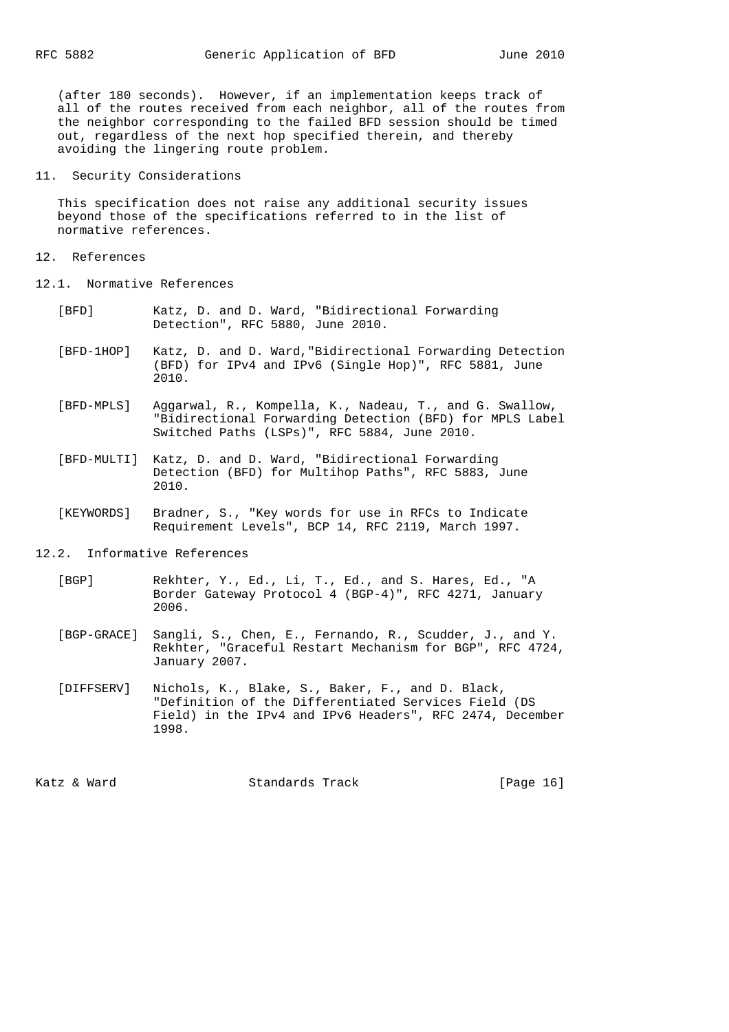(after 180 seconds). However, if an implementation keeps track of all of the routes received from each neighbor, all of the routes from the neighbor corresponding to the failed BFD session should be timed out, regardless of the next hop specified therein, and thereby avoiding the lingering route problem.

### 11. Security Considerations

 This specification does not raise any additional security issues beyond those of the specifications referred to in the list of normative references.

#### 12. References

- 12.1. Normative References
	- [BFD] Katz, D. and D. Ward, "Bidirectional Forwarding Detection", RFC 5880, June 2010.
	- [BFD-1HOP] Katz, D. and D. Ward,"Bidirectional Forwarding Detection (BFD) for IPv4 and IPv6 (Single Hop)", RFC 5881, June 2010.
	- [BFD-MPLS] Aggarwal, R., Kompella, K., Nadeau, T., and G. Swallow, "Bidirectional Forwarding Detection (BFD) for MPLS Label Switched Paths (LSPs)", RFC 5884, June 2010.
	- [BFD-MULTI] Katz, D. and D. Ward, "Bidirectional Forwarding Detection (BFD) for Multihop Paths", RFC 5883, June 2010.
	- [KEYWORDS] Bradner, S., "Key words for use in RFCs to Indicate Requirement Levels", BCP 14, RFC 2119, March 1997.

12.2. Informative References

- [BGP] Rekhter, Y., Ed., Li, T., Ed., and S. Hares, Ed., "A Border Gateway Protocol 4 (BGP-4)", RFC 4271, January 2006.
- [BGP-GRACE] Sangli, S., Chen, E., Fernando, R., Scudder, J., and Y. Rekhter, "Graceful Restart Mechanism for BGP", RFC 4724, January 2007.
- [DIFFSERV] Nichols, K., Blake, S., Baker, F., and D. Black, "Definition of the Differentiated Services Field (DS Field) in the IPv4 and IPv6 Headers", RFC 2474, December 1998.

Katz & Ward Standards Track [Page 16]